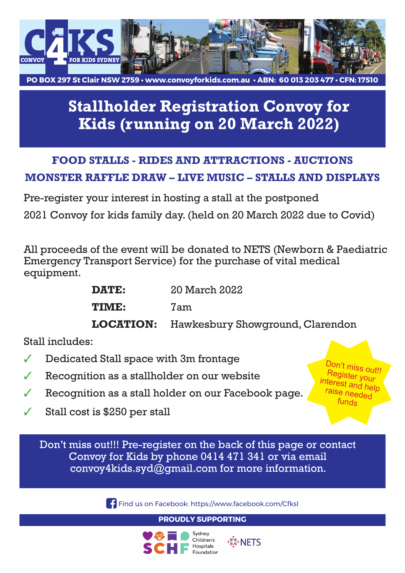

**PO BOX 297 St Clair NSW 2759 • www.convoyforkids.com.au • ABN: 60 013 203 477 • CFN: 17510**

## **Stallholder Registration Convoy for Kids (running on 20 March 2022)**

## **FOOD STALLS - RIDES AND ATTRACTIONS - AUCTIONS MONSTER RAFFLE DRAW – LIVE MUSIC – STALLS AND DISPLAYS**

Pre-register your interest in hosting a stall at the postponed 2021 Convoy for kids family day. (held on 20 March 2022 due to Covid)

All proceeds of the event will be donated to NETS (Newborn & Paediatric Emergency Transport Service) for the purchase of vital medical equipment.

| <b>DATE:</b> | 20 March 2022 |  |
|--------------|---------------|--|
| <b>TIME:</b> | 7am           |  |
|              |               |  |

**LOCATION:** Hawkesbury Showground, Clarendon

Stall includes:

- Dedicated Stall space with 3m frontage
- Recognition as a stallholder on our website
- ✓ Recognition as a stall holder on our Facebook page.
- $\checkmark$  Stall cost is \$250 per stall

Don't miss out!!! Pre-register on the back of this page or contact Convoy for Kids by phone 0414 471 341 or via email [convoy4kids.syd@gmail.com](mailto:convoy4kids.syd@gmail.com) for more information.

**Find us on Facebook: https://www.facebook.com/CfksI** 

**PROUDLY SUPPORTING**





 Don't miss out!! Register your interest and help raise needed funds